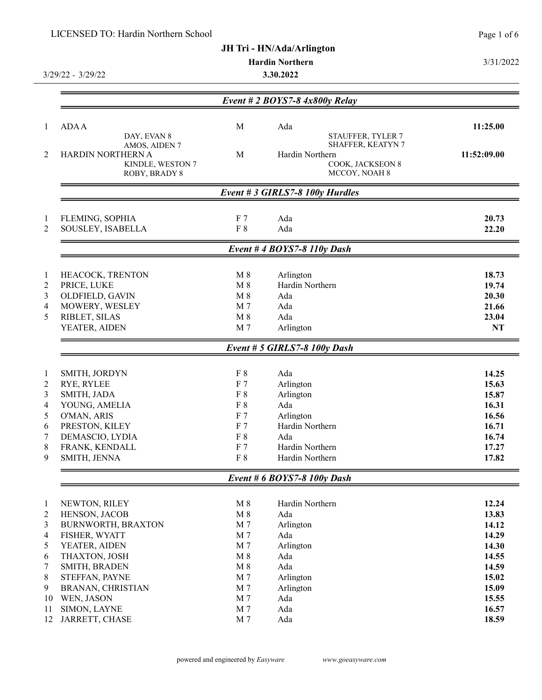|                  | LICENSED TO: Hardin Northern School |                |                                        | Page 1 of 6 |
|------------------|-------------------------------------|----------------|----------------------------------------|-------------|
|                  |                                     |                | JH Tri - HN/Ada/Arlington              |             |
|                  |                                     |                | <b>Hardin Northern</b>                 | 3/31/2022   |
|                  | 3/29/22 - 3/29/22                   |                | 3.30.2022                              |             |
|                  |                                     |                | Event # 2 BOYS7-8 $4x800y$ Relay       |             |
|                  |                                     |                |                                        |             |
| 1                | <b>ADA A</b>                        | M              | Ada                                    | 11:25.00    |
|                  | DAY, EVAN 8<br>AMOS, AIDEN 7        |                | STAUFFER, TYLER 7<br>SHAFFER, KEATYN 7 |             |
| 2                | HARDIN NORTHERN A                   | M              | Hardin Northern                        | 11:52:09.00 |
|                  | KINDLE, WESTON 7                    |                | COOK, JACKSEON 8                       |             |
|                  | ROBY, BRADY 8                       |                | MCCOY, NOAH 8                          |             |
|                  |                                     |                | Event # 3 GIRLS7-8 100y Hurdles        |             |
| 1                | FLEMING, SOPHIA                     | F <sub>7</sub> | Ada                                    | 20.73       |
| $\overline{2}$   | SOUSLEY, ISABELLA                   | F 8            | Ada                                    | 22.20       |
|                  |                                     |                | Event # 4 BOYS7-8 $110y$ Dash          |             |
| 1                | HEACOCK, TRENTON                    | $M_8$          | Arlington                              | 18.73       |
| $\boldsymbol{2}$ | PRICE, LUKE                         | $M_8$          | Hardin Northern                        | 19.74       |
| 3                | OLDFIELD, GAVIN                     | $\mathbf{M}$ 8 | Ada                                    | 20.30       |
| $\overline{4}$   | MOWERY, WESLEY                      | M 7            | Ada                                    | 21.66       |
| 5                | RIBLET, SILAS                       | $M_8$          | Ada                                    | 23.04       |
|                  | YEATER, AIDEN                       | M 7            | Arlington                              | NT          |
|                  |                                     |                | Event # 5 GIRLS7-8 100y Dash           |             |
| 1                | SMITH, JORDYN                       | F8             | Ada                                    | 14.25       |
| 2                | RYE, RYLEE                          | F <sub>7</sub> | Arlington                              | 15.63       |
| 3                | SMITH, JADA                         | F 8            | Arlington                              | 15.87       |
| 4                | YOUNG, AMELIA                       | F 8            | Ada                                    | 16.31       |
| 5                | O'MAN, ARIS                         | F <sub>7</sub> | Arlington                              | 16.56       |
| 6                | PRESTON, KILEY                      | F <sub>7</sub> | Hardin Northern                        | 16.71       |
| $\boldsymbol{7}$ | DEMASCIO, LYDIA                     | $\rm F~8$      | Ada                                    | 16.74       |
| 8                | FRANK, KENDALL                      | F <sub>7</sub> | Hardin Northern                        | 17.27       |
| 9                | SMITH, JENNA                        | F 8            | Hardin Northern                        | 17.82       |
|                  |                                     |                | Event # $6$ BOYS7-8 100y Dash          |             |
| $\mathbf{1}$     | NEWTON, RILEY                       | $M_8$          | Hardin Northern                        | 12.24       |
| $\overline{c}$   | HENSON, JACOB                       | $M_8$          | Ada                                    | 13.83       |
| 3                | BURNWORTH, BRAXTON                  | M 7            | Arlington                              | 14.12       |
| $\overline{4}$   | FISHER, WYATT                       | M 7            | Ada                                    | 14.29       |
| 5                | YEATER, AIDEN                       | M 7            | Arlington                              | 14.30       |
| 6                | THAXTON, JOSH                       | $M_8$          | Ada                                    | 14.55       |
| 7                | SMITH, BRADEN                       | $M_8$          | Ada                                    | 14.59       |
| 8                | STEFFAN, PAYNE                      | M 7            | Arlington                              | 15.02       |
| 9                | BRANAN, CHRISTIAN                   | M 7            | Arlington                              | 15.09       |
| 10               | WEN, JASON                          | M 7            | Ada                                    | 15.55       |
| 11               | SIMON, LAYNE                        | M 7            | Ada                                    | 16.57       |
| 12               | JARRETT, CHASE                      | $\rm M$ 7      | Ada                                    | 18.59       |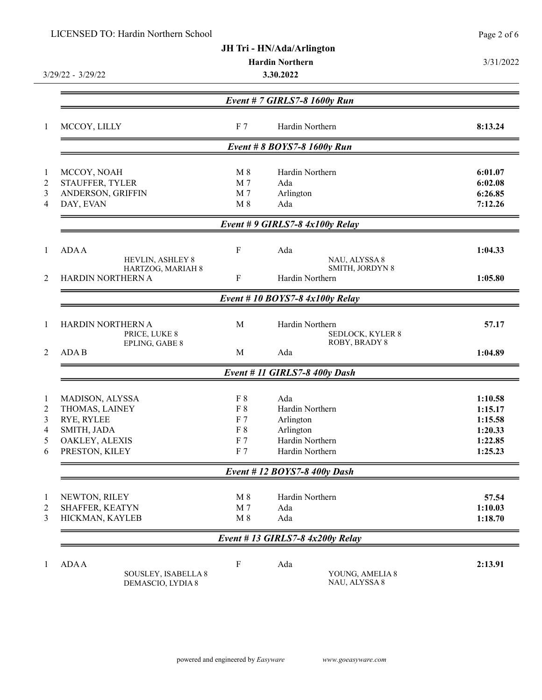| LICENSED TO: Hardin Northern School      |                                                                                                                                                                             |                                                               | Page 2 of 6                                                                                                                                                                                                                                                                                                                                                                                                                    |
|------------------------------------------|-----------------------------------------------------------------------------------------------------------------------------------------------------------------------------|---------------------------------------------------------------|--------------------------------------------------------------------------------------------------------------------------------------------------------------------------------------------------------------------------------------------------------------------------------------------------------------------------------------------------------------------------------------------------------------------------------|
|                                          |                                                                                                                                                                             |                                                               |                                                                                                                                                                                                                                                                                                                                                                                                                                |
|                                          |                                                                                                                                                                             |                                                               | 3/31/2022                                                                                                                                                                                                                                                                                                                                                                                                                      |
| 3.30.2022<br>$3/29/22 - 3/29/22$         |                                                                                                                                                                             |                                                               |                                                                                                                                                                                                                                                                                                                                                                                                                                |
|                                          |                                                                                                                                                                             |                                                               |                                                                                                                                                                                                                                                                                                                                                                                                                                |
|                                          |                                                                                                                                                                             |                                                               |                                                                                                                                                                                                                                                                                                                                                                                                                                |
| MCCOY, LILLY                             | F <sub>7</sub>                                                                                                                                                              | Hardin Northern                                               | 8:13.24                                                                                                                                                                                                                                                                                                                                                                                                                        |
|                                          |                                                                                                                                                                             |                                                               |                                                                                                                                                                                                                                                                                                                                                                                                                                |
|                                          | $M_8$                                                                                                                                                                       | Hardin Northern                                               | 6:01.07                                                                                                                                                                                                                                                                                                                                                                                                                        |
| STAUFFER, TYLER                          | M 7                                                                                                                                                                         | Ada                                                           | 6:02.08                                                                                                                                                                                                                                                                                                                                                                                                                        |
| ANDERSON, GRIFFIN                        | M 7                                                                                                                                                                         | Arlington                                                     | 6:26.85                                                                                                                                                                                                                                                                                                                                                                                                                        |
| DAY, EVAN                                | $M_8$                                                                                                                                                                       | Ada                                                           | 7:12.26                                                                                                                                                                                                                                                                                                                                                                                                                        |
|                                          |                                                                                                                                                                             |                                                               |                                                                                                                                                                                                                                                                                                                                                                                                                                |
| <b>ADA A</b>                             | F                                                                                                                                                                           | Ada                                                           | 1:04.33                                                                                                                                                                                                                                                                                                                                                                                                                        |
| HARTZOG, MARIAH 8                        |                                                                                                                                                                             | SMITH, JORDYN 8                                               |                                                                                                                                                                                                                                                                                                                                                                                                                                |
|                                          |                                                                                                                                                                             |                                                               | 1:05.80                                                                                                                                                                                                                                                                                                                                                                                                                        |
|                                          |                                                                                                                                                                             |                                                               |                                                                                                                                                                                                                                                                                                                                                                                                                                |
| HARDIN NORTHERN A<br>PRICE, LUKE 8       | M                                                                                                                                                                           | Hardin Northern<br><b>SEDLOCK, KYLER 8</b>                    | 57.17                                                                                                                                                                                                                                                                                                                                                                                                                          |
| <b>ADAB</b>                              | M                                                                                                                                                                           | Ada                                                           | 1:04.89                                                                                                                                                                                                                                                                                                                                                                                                                        |
|                                          |                                                                                                                                                                             |                                                               |                                                                                                                                                                                                                                                                                                                                                                                                                                |
|                                          |                                                                                                                                                                             |                                                               | 1:10.58                                                                                                                                                                                                                                                                                                                                                                                                                        |
|                                          |                                                                                                                                                                             |                                                               | 1:15.17                                                                                                                                                                                                                                                                                                                                                                                                                        |
|                                          |                                                                                                                                                                             |                                                               | 1:15.58                                                                                                                                                                                                                                                                                                                                                                                                                        |
|                                          |                                                                                                                                                                             |                                                               | 1:20.33                                                                                                                                                                                                                                                                                                                                                                                                                        |
|                                          | F 7                                                                                                                                                                         | Hardin Northern                                               | 1:22.85                                                                                                                                                                                                                                                                                                                                                                                                                        |
| PRESTON, KILEY                           | F 7                                                                                                                                                                         | Hardin Northern                                               | 1:25.23                                                                                                                                                                                                                                                                                                                                                                                                                        |
|                                          |                                                                                                                                                                             |                                                               |                                                                                                                                                                                                                                                                                                                                                                                                                                |
|                                          |                                                                                                                                                                             |                                                               | 57.54                                                                                                                                                                                                                                                                                                                                                                                                                          |
| SHAFFER, KEATYN                          | M 7                                                                                                                                                                         | Ada                                                           | 1:10.03                                                                                                                                                                                                                                                                                                                                                                                                                        |
| HICKMAN, KAYLEB                          | $M_8$                                                                                                                                                                       | Ada                                                           | 1:18.70                                                                                                                                                                                                                                                                                                                                                                                                                        |
|                                          |                                                                                                                                                                             |                                                               |                                                                                                                                                                                                                                                                                                                                                                                                                                |
| <b>ADA A</b>                             | $\boldsymbol{\mathrm{F}}$                                                                                                                                                   | Ada                                                           | 2:13.91                                                                                                                                                                                                                                                                                                                                                                                                                        |
| SOUSLEY, ISABELLA 8<br>DEMASCIO, LYDIA 8 |                                                                                                                                                                             | YOUNG, AMELIA 8<br>NAU, ALYSSA 8                              |                                                                                                                                                                                                                                                                                                                                                                                                                                |
|                                          | MCCOY, NOAH<br>HEVLIN, ASHLEY 8<br>HARDIN NORTHERN A<br>EPLING, GABE 8<br>MADISON, ALYSSA<br>THOMAS, LAINEY<br>RYE, RYLEE<br>SMITH, JADA<br>OAKLEY, ALEXIS<br>NEWTON, RILEY | $\mathbf{F}$<br>F 8<br>$\rm F~8$<br>F 7<br>$\rm F~8$<br>$M_8$ | JH Tri - HN/Ada/Arlington<br><b>Hardin Northern</b><br>Event # 7 GIRLS7-8 1600y Run<br>Event # 8 BOYS7-8 1600y Run<br>Event # 9 GIRLS7-8 $4x100y$ Relay<br>NAU, ALYSSA 8<br>Hardin Northern<br>Event # 10 BOYS7-8 $4x100y$ Relay<br>ROBY, BRADY 8<br>Event # 11 GIRLS7-8 400y Dash<br>Ada<br>Hardin Northern<br>Arlington<br>Arlington<br>Event #12 BOYS7-8 400y Dash<br>Hardin Northern<br>Event # 13 GIRLS7-8 $4x200y$ Relay |

 $\frac{1}{1}$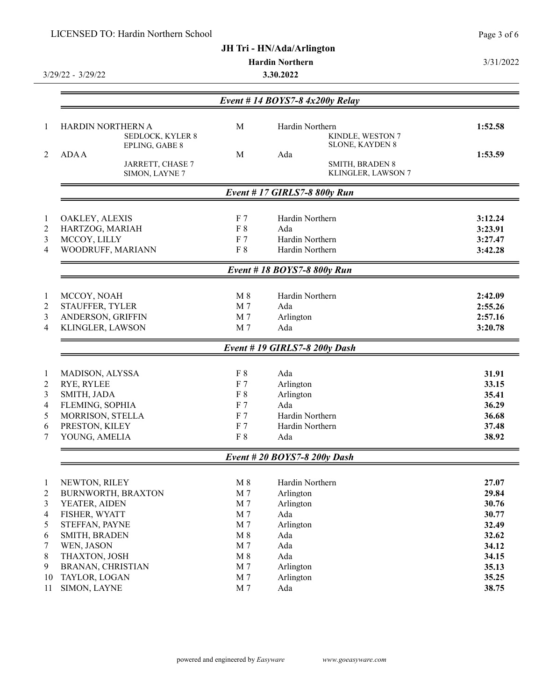|                | LICENSED TO: Hardin Northern School       |                  |                                   |                                            | Page 3 of 6 |
|----------------|-------------------------------------------|------------------|-----------------------------------|--------------------------------------------|-------------|
|                |                                           |                  | <b>JH Tri - HN/Ada/Arlington</b>  |                                            |             |
|                |                                           |                  | <b>Hardin Northern</b>            |                                            | 3/31/2022   |
|                | $3/29/22 - 3/29/22$                       |                  | 3.30.2022                         |                                            |             |
|                |                                           |                  |                                   |                                            |             |
|                |                                           |                  | Event # 14 BOYS7-8 $4x200y$ Relay |                                            |             |
| 1              | HARDIN NORTHERN A                         | M                | Hardin Northern                   |                                            | 1:52.58     |
|                | <b>SEDLOCK, KYLER 8</b><br>EPLING, GABE 8 |                  |                                   | KINDLE, WESTON 7<br><b>SLONE, KAYDEN 8</b> |             |
| 2              | <b>ADA A</b>                              | M                | Ada                               |                                            | 1:53.59     |
|                | JARRETT, CHASE 7<br>SIMON, LAYNE 7        |                  |                                   | SMITH, BRADEN 8<br>KLINGLER, LAWSON 7      |             |
|                |                                           |                  | Event #17 GIRLS7-8 800y Run       |                                            |             |
|                |                                           |                  |                                   |                                            |             |
| $\mathbf{1}$   | OAKLEY, ALEXIS                            | F <sub>7</sub>   | Hardin Northern                   |                                            | 3:12.24     |
| $\overline{c}$ | HARTZOG, MARIAH                           | $\rm F~8$        | Ada                               |                                            | 3:23.91     |
| 3              | MCCOY, LILLY                              | F <sub>7</sub>   | Hardin Northern                   |                                            | 3:27.47     |
| 4              | WOODRUFF, MARIANN                         | $\rm F~8$        | Hardin Northern                   |                                            | 3:42.28     |
|                |                                           |                  | Event #18 BOYS7-8 800y Run        |                                            |             |
| $\mathbf{1}$   | MCCOY, NOAH                               | $M_8$            | Hardin Northern                   |                                            | 2:42.09     |
| $\overline{2}$ | STAUFFER, TYLER                           | M 7              | Ada                               |                                            | 2:55.26     |
| 3              | ANDERSON, GRIFFIN                         | M 7              | Arlington                         |                                            | 2:57.16     |
| 4              | KLINGLER, LAWSON                          | M 7              | Ada                               |                                            | 3:20.78     |
|                |                                           |                  | Event #19 GIRLS7-8 200y Dash      |                                            |             |
| $\mathbf{1}$   | MADISON, ALYSSA                           | F 8              | Ada                               |                                            | 31.91       |
| $\overline{2}$ | RYE, RYLEE                                | F 7              | Arlington                         |                                            | 33.15       |
| 3              | SMITH, JADA                               | F 8              | Arlington                         |                                            | 35.41       |
| 4              | FLEMING, SOPHIA                           | F 7              | Ada                               |                                            | 36.29       |
| 5              | MORRISON, STELLA                          | F 7              | Hardin Northern                   |                                            | 36.68       |
| 6<br>7         | PRESTON, KILEY<br>YOUNG, AMELIA           | $\rm F$ 7<br>F 8 | Hardin Northern                   |                                            | 37.48       |
|                |                                           |                  | Ada                               |                                            | 38.92       |
|                |                                           |                  | Event # 20 BOYS7-8 200y Dash      |                                            |             |
| $\mathbf{1}$   | NEWTON, RILEY                             | $M_8$            | Hardin Northern                   |                                            | 27.07       |
| $\overline{2}$ | BURNWORTH, BRAXTON                        | M 7              | Arlington                         |                                            | 29.84       |
| 3              | YEATER, AIDEN                             | M 7              | Arlington                         |                                            | 30.76       |
| 4              | FISHER, WYATT                             | M 7              | Ada                               |                                            | 30.77       |
| 5              | STEFFAN, PAYNE                            | M 7              | Arlington                         |                                            | 32.49       |
| 6              | SMITH, BRADEN                             | $M_8$            | Ada                               |                                            | 32.62       |
| 7              | WEN, JASON                                | M 7              | Ada                               |                                            | 34.12       |
| 8              | THAXTON, JOSH                             | $M_8$            | Ada                               |                                            | 34.15       |
| 9              | BRANAN, CHRISTIAN                         | M 7              | Arlington                         |                                            | 35.13       |
| 10             | TAYLOR, LOGAN                             | M 7              | Arlington                         |                                            | 35.25       |
| 11             | SIMON, LAYNE                              | M 7              | Ada                               |                                            | 38.75       |

 $\frac{1}{1}$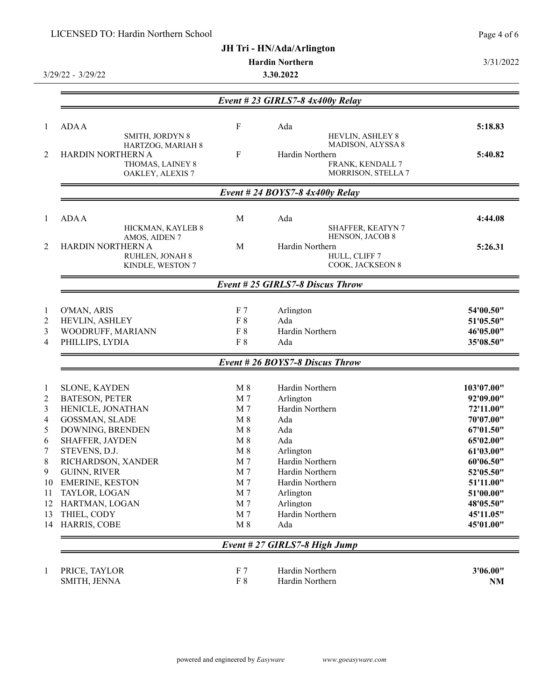|                | LICENSED TO: Hardin Northern School    |                       |                                        | Page 4 of 6            |
|----------------|----------------------------------------|-----------------------|----------------------------------------|------------------------|
|                |                                        |                       | JH Tri - HN/Ada/Arlington              |                        |
|                |                                        |                       | <b>Hardin Northern</b>                 | 3/31/2022              |
|                | 3/29/22 - 3/29/22                      |                       | 3.30.2022                              |                        |
|                |                                        |                       |                                        |                        |
|                |                                        |                       | Event # 23 GIRLS7-8 $4x400y$ Relay     |                        |
| $\mathbf{1}$   | <b>ADA A</b>                           | ${\bf F}$             | Ada                                    | 5:18.83                |
|                | SMITH, JORDYN 8                        |                       | HEVLIN, ASHLEY 8                       |                        |
| 2              | HARTZOG, MARIAH 8<br>HARDIN NORTHERN A | $_{\rm F}$            | MADISON, ALYSSA 8<br>Hardin Northern   | 5:40.82                |
|                | THOMAS, LAINEY 8<br>OAKLEY, ALEXIS 7   |                       | FRANK, KENDALL 7<br>MORRISON, STELLA 7 |                        |
|                |                                        |                       | Event # 24 BOYS7-8 $4x400y$ Relay      |                        |
| 1              | <b>ADA A</b>                           | M                     | Ada                                    | 4:44.08                |
|                | HICKMAN, KAYLEB 8                      |                       | SHAFFER, KEATYN 7                      |                        |
|                | AMOS, AIDEN 7                          |                       | HENSON, JACOB 8                        |                        |
| $\overline{2}$ | HARDIN NORTHERN A<br>RUHLEN, JONAH 8   | M                     | Hardin Northern<br>HULL, CLIFF 7       | 5:26.31                |
|                | KINDLE, WESTON 7                       |                       | COOK, JACKSEON 8                       |                        |
|                |                                        |                       | Event # 25 GIRLS7-8 Discus Throw       |                        |
| $\mathbf{1}$   | O'MAN, ARIS                            | F <sub>7</sub>        | Arlington                              | 54'00.50"              |
| $\overline{2}$ | HEVLIN, ASHLEY                         | F 8                   | Ada                                    | 51'05.50"              |
| 3              | WOODRUFF, MARIANN                      | F8                    | Hardin Northern                        | 46'05.00"              |
| 4              | PHILLIPS, LYDIA                        | F 8                   | Ada                                    | 35'08.50"              |
|                |                                        |                       | Event # 26 BOYS7-8 Discus Throw        |                        |
| -1             | <b>SLONE, KAYDEN</b>                   | $M_8$                 | Hardin Northern                        | 103'07.00"             |
| 2              | <b>BATESON, PETER</b>                  | M 7                   | Arlington                              | 92'09.00"              |
| 3              | HENICLE, JONATHAN                      | M 7                   | Hardin Northern                        | 72'11.00"              |
| 4              | GOSSMAN, SLADE                         | $M_8$                 | Ada                                    | 70'07.00"              |
| 5              | DOWNING, BRENDEN                       | $M_8$                 | Ada                                    | 67'01.50"              |
| 6              | SHAFFER, JAYDEN                        | $\mathbf{M}$ 8        | Ada                                    | 65'02.00"              |
| 7              | STEVENS, D.J.                          | $\mathbf{M}$ 8        | Arlington                              | 61'03.00"              |
| 8              | RICHARDSON, XANDER                     | M <sub>7</sub>        | Hardin Northern                        | 60'06.50"              |
| 9              | <b>GUINN, RIVER</b>                    | M 7                   | Hardin Northern                        | 52'05.50"              |
| 10             | <b>EMERINE, KESTON</b>                 | M <sub>7</sub>        | Hardin Northern                        | 51'11.00"              |
| 11             | TAYLOR, LOGAN                          | M 7                   | Arlington                              | 51'00.00"              |
| 12             | HARTMAN, LOGAN                         | M <sub>7</sub>        | Arlington                              | 48'05.50"              |
| 13<br>14       | THIEL, CODY<br>HARRIS, COBE            | M 7<br>$\mathbf{M}$ 8 | Hardin Northern<br>Ada                 | 45'11.05"<br>45'01.00" |
|                |                                        |                       | Event # 27 GIRLS7-8 High Jump          |                        |
| $\mathbf{1}$   | PRICE, TAYLOR                          | F <sub>7</sub>        | Hardin Northern                        | 3'06.00"               |
|                | SMITH, JENNA                           | F 8                   | Hardin Northern                        | NM                     |
|                |                                        |                       |                                        |                        |

 $\frac{1}{2}$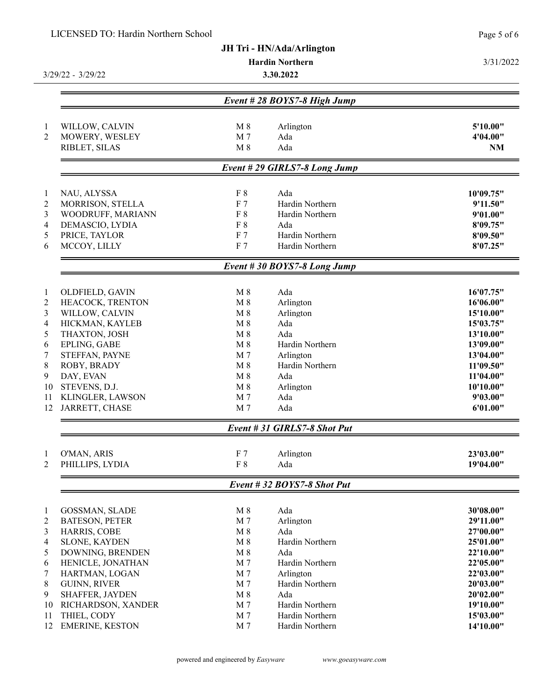## LICENSED TO: Hardin Northern School

|                         | LICENSED TO: Hardin Northern School |                |                                  | Page 5 of 6 |
|-------------------------|-------------------------------------|----------------|----------------------------------|-------------|
|                         |                                     |                | <b>JH Tri - HN/Ada/Arlington</b> |             |
|                         |                                     |                | <b>Hardin Northern</b>           | 3/31/2022   |
|                         | 3/29/22 - 3/29/22                   |                | 3.30.2022                        |             |
|                         |                                     |                | Event #28 BOYS7-8 High Jump      |             |
|                         |                                     |                |                                  |             |
| $\mathbf{1}$            | WILLOW, CALVIN                      | $M_8$          | Arlington                        | 5'10.00"    |
| $\overline{2}$          | MOWERY, WESLEY                      | M 7            | Ada                              | 4'04.00"    |
|                         | RIBLET, SILAS                       | $M_8$          | Ada                              | <b>NM</b>   |
|                         |                                     |                | Event # 29 GIRLS7-8 Long Jump    |             |
| $\mathbf{1}$            | NAU, ALYSSA                         | $\rm F~8$      | Ada                              | 10'09.75"   |
| $\sqrt{2}$              | MORRISON, STELLA                    | F <sub>7</sub> | Hardin Northern                  | 9'11.50"    |
| 3                       | WOODRUFF, MARIANN                   | F 8            | Hardin Northern                  | 9'01.00"    |
| $\overline{\mathbf{4}}$ | DEMASCIO, LYDIA                     | F 8            | Ada                              | 8'09.75"    |
| 5                       | PRICE, TAYLOR                       | F <sub>7</sub> | Hardin Northern                  | 8'09.50"    |
| 6                       | MCCOY, LILLY                        | F <sub>7</sub> | Hardin Northern                  | 8'07.25"    |
|                         |                                     |                | Event #30 BOYS7-8 Long Jump      |             |
| $\mathbf{1}$            | OLDFIELD, GAVIN                     | $M_8$          | Ada                              | 16'07.75"   |
| $\overline{2}$          | HEACOCK, TRENTON                    | $M_8$          | Arlington                        | 16'06.00"   |
| 3                       | WILLOW, CALVIN                      | $M_8$          | Arlington                        | 15'10.00"   |
| 4                       | HICKMAN, KAYLEB                     | $M_8$          | Ada                              | 15'03.75"   |
| 5                       | THAXTON, JOSH                       | $M_8$          | Ada                              | 13'10.00"   |
| 6                       | EPLING, GABE                        | $M_8$          | Hardin Northern                  | 13'09.00"   |
| 7                       | STEFFAN, PAYNE                      | M <sub>7</sub> | Arlington                        | 13'04.00"   |
| 8                       | ROBY, BRADY                         | $M_8$          | Hardin Northern                  | 11'09.50"   |
| 9                       | DAY, EVAN                           | $M_8$          | Ada                              | 11'04.00"   |
| 10                      | STEVENS, D.J.                       | $M_8$          | Arlington                        | 10'10.00"   |
| 11                      | KLINGLER, LAWSON                    | M 7            | Ada                              | 9'03.00"    |
| 12                      | JARRETT, CHASE                      | M <sub>7</sub> | Ada                              | 6'01.00"    |
|                         |                                     |                | Event # 31 GIRLS7-8 Shot Put     |             |
| $\mathbf{1}$            | O'MAN, ARIS                         | F <sub>7</sub> | Arlington                        | 23'03.00"   |
| 2                       | PHILLIPS, LYDIA                     | $\rm F~8$      | Ada                              | 19'04.00"   |
|                         |                                     |                | Event #32 BOYS7-8 Shot Put       |             |
| $\mathbf{1}$            | <b>GOSSMAN, SLADE</b>               | $M_8$          | Ada                              | 30'08.00"   |
| 2                       | <b>BATESON, PETER</b>               | M 7            | Arlington                        | 29'11.00"   |
| 3                       | HARRIS, COBE                        | $M_8$          | Ada                              | 27'00.00"   |
| 4                       | <b>SLONE, KAYDEN</b>                | $M_8$          | Hardin Northern                  | 25'01.00"   |
| 5                       | DOWNING, BRENDEN                    | $M_8$          | Ada                              | 22'10.00"   |
| 6                       | HENICLE, JONATHAN                   | M 7            | Hardin Northern                  | 22'05.00"   |
| 7                       | HARTMAN, LOGAN                      | M 7            | Arlington                        | 22'03.00"   |
| 8                       | <b>GUINN, RIVER</b>                 | M <sub>7</sub> | Hardin Northern                  | 20'03.00"   |
| 9                       | SHAFFER, JAYDEN                     | $M_8$          | Ada                              | 20'02.00"   |
| 10                      | RICHARDSON, XANDER                  | M 7            | Hardin Northern                  | 19'10.00"   |
| 11                      | THIEL, CODY                         | M <sub>7</sub> | Hardin Northern                  | 15'03.00"   |
| 12                      | <b>EMERINE, KESTON</b>              | M <sub>7</sub> | Hardin Northern                  | 14'10.00"   |